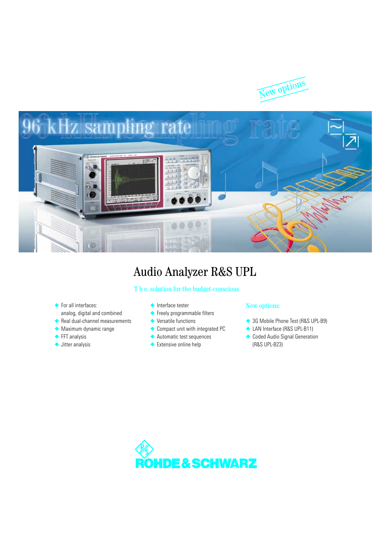



# Audio Analyzer R&S UPL

### T h e solution for the budget-conscious

- ◆ For all interfaces: analog, digital and combined
- ◆ Real dual-channel measurements
- ◆ Maximum dynamic range
- ◆ FFT analysis
- ◆ Jitter analysis
- ◆ Interface tester
- ◆ Freely programmable filters
- ◆ Versatile functions
- ◆ Compact unit with integrated PC
- ◆ Automatic test sequences
- ◆ Extensive online help

### New options:

- ◆ 3G Mobile Phone Test (R&S UPL-B9)
- ◆ LAN Interface (R&S UPL-B11)
- ◆ Coded Audio Signal Generation (R&S UPL-B23)

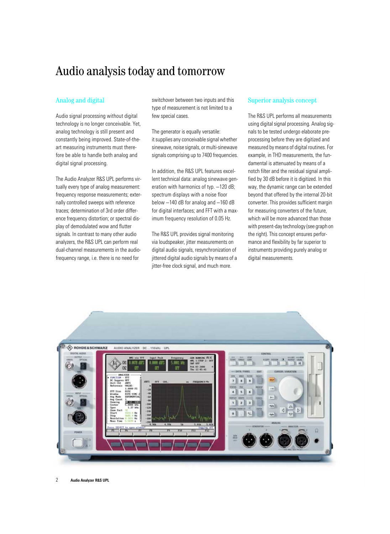# Audio analysis today and tomorrow

### Analog and digital

Audio signal processing without digital technology is no longer conceivable. Yet, analog technology is still present and constantly being improved. State-of-theart measuring instruments must therefore be able to handle both analog and digital signal processing.

The Audio Analyzer R&S UPL performs virtually every type of analog measurement: frequency response measurements; externally controlled sweeps with reference traces; determination of 3rd order difference frequency distortion; or spectral display of demodulated wow and flutter signals. In contrast to many other audio analyzers, the R&S UPL can perform real dual-channel measurements in the audiofrequency range, i.e. there is no need for

switchover between two inputs and this type of measurement is not limited to a few special cases.

The generator is equally versatile: it supplies any conceivable signal whether sinewave, noise signals, or multi-sinewave signals comprising up to 7400 frequencies.

In addition, the R&S UPL features excellent technical data: analog sinewave generation with harmonics of typ. -120 dB; spectrum displays with a noise floor below −140 dB for analog and −160 dB for digital interfaces; and FFT with a maximum frequency resolution of 0.05 Hz.

The R&S UPL provides signal monitoring via loudspeaker, jitter measurements on digital audio signals, resynchronization of jittered digital audio signals by means of a jitter-free clock signal, and much more.

### Superior analysis concept

The R&S UPL performs all measurements using digital signal processing. Analog signals to be tested undergo elaborate preprocessing before they are digitized and measured by means of digital routines. For example, in THD measurements, the fundamental is attenuated by means of a notch filter and the residual signal amplified by 30 dB before it is digitized. In this way, the dynamic range can be extended beyond that offered by the internal 20-bit converter. This provides sufficient margin for measuring converters of the future, which will be more advanced than those with present-day technology (see graph on the right). This concept ensures performance and flexibility by far superior to instruments providing purely analog or digital measurements.

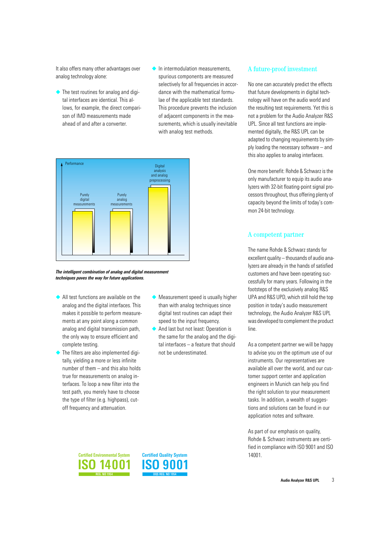It also offers many other advantages over analog technology alone:

- ◆ The test routines for analog and digital interfaces are identical. This allows, for example, the direct comparison of IMD measurements made ahead of and after a converter.
- ◆ In intermodulation measurements, spurious components are measured selectively for all frequencies in accordance with the mathematical formulae of the applicable test standards. This procedure prevents the inclusion of adjacent components in the measurements, which is usually inevitable with analog test methods.



*The intelligent combination of analog and digital measurement techniques paves the way for future applications.*

- ◆ All test functions are available on the analog and the digital interfaces. This makes it possible to perform measurements at any point along a common analog and digital transmission path, the only way to ensure efficient and complete testing.
- The filters are also implemented digitally, yielding a more or less infinite number of them – and this also holds true for measurements on analog interfaces. To loop a new filter into the test path, you merely have to choose the type of filter (e.g. highpass), cutoff frequency and attenuation.
- ◆ Measurement speed is usually higher than with analog techniques since digital test routines can adapt their speed to the input frequency.
- ◆ And last but not least: Operation is the same for the analog and the digital interfaces – a feature that should not be underestimated.

### A future-proof investment

No one can accurately predict the effects that future developments in digital technology will have on the audio world and the resulting test requirements. Yet this is not a problem for the Audio Analyzer R&S UPL. Since all test functions are implemented digitally, the R&S UPL can be adapted to changing requirements by simply loading the necessary software – and this also applies to analog interfaces.

One more benefit: Rohde & Schwarz is the only manufacturer to equip its audio analyzers with 32-bit floating-point signal processors throughout, thus offering plenty of capacity beyond the limits of today's common 24-bit technology.

### A competent partner

The name Rohde & Schwarz stands for excellent quality – thousands of audio analyzers are already in the hands of satisfied customers and have been operating successfully for many years. Following in the footsteps of the exclusively analog R&S UPA and R&S UPD, which still hold the top position in today's audio measurement technology, the Audio Analyzer R&S UPL was developed to complement the product line.

As a competent partner we will be happy to advise you on the optimum use of our instruments. Our representatives are available all over the world, and our customer support center and application engineers in Munich can help you find the right solution to your measurement tasks. In addition, a wealth of suggestions and solutions can be found in our application notes and software.

As part of our emphasis on quality, Rohde & Schwarz instruments are certified in compliance with ISO 9001 and ISO 14001.



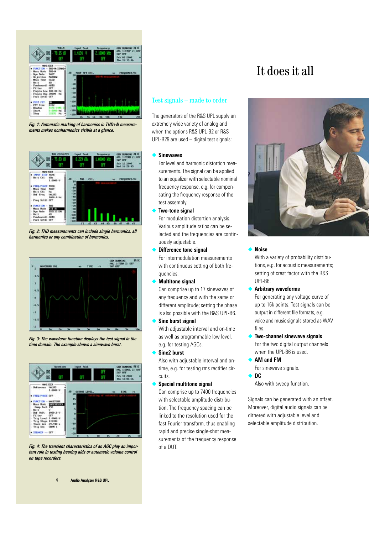

*Fig. 1: Automatic marking of harmonics in THD+N measurements makes nonharmonics visible at a glance.* 



*Fig. 2: THD measurements can include single harmonics, all harmonics or any combination of harmonics.*



*Fig. 3: The waveform function displays the test signal in the time domain. The example shows a sinewave burst.*



*Fig. 4: The transient characteristics of an AGC play an important role in testing hearing aids or automatic volume control on tape recorders.*

### Test signals – made to order

The generators of the R&S UPL supply an extremely wide variety of analog and – when the options R&S UPL-B2 or R&S UPL-B29 are used – digital test signals:

### ◆ **Sinewaves**

For level and harmonic distortion measurements. The signal can be applied to an equalizer with selectable nominal frequency response, e.g. for compensating the frequency response of the test assembly.

**Two-tone signal** 

For modulation distortion analysis. Various amplitude ratios can be selected and the frequencies are continuously adjustable.

**Difference tone signal** 

For intermodulation measurements with continuous setting of both frequencies.

**Multitone signal** 

Can comprise up to 17 sinewaves of any frequency and with the same or different amplitude; setting the phase is also possible with the R&S UPL-B6.

- **Sine burst signal** With adjustable interval and on-time as well as programmable low level, e.g. for testing AGCs.
- **Sine2 burst**

Also with adjustable interval and ontime, e.g. for testing rms rectifier circuits.

**Special multitone signal** 

Can comprise up to 7400 frequencies with selectable amplitude distribution. The frequency spacing can be linked to the resolution used for the fast Fourier transform, thus enabling rapid and precise single-shot measurements of the frequency response of a DUT.

# It does it all



### ◆ **Noise**

With a variety of probability distributions, e.g. for acoustic measurements; setting of crest factor with the R&S UPL-B6.

◆ **Arbitrary waveforms**

For generating any voltage curve of up to 16k points. Test signals can be output in different file formats, e.g. voice and music signals stored as WAV files.

- ◆ **Two-channel sinewave signals** For the two digital output channels when the UPL-B6 is used.
- ◆ **AM and FM** For sinewave signals.
- ◆ **DC**

Also with sweep function.

Signals can be generated with an offset. Moreover, digital audio signals can be dithered with adjustable level and selectable amplitude distribution.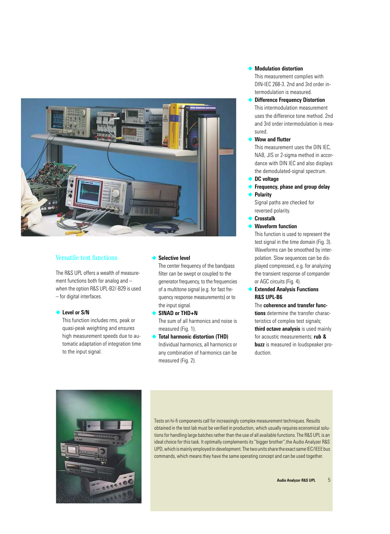

### Versatile test functions

The R&S UPL offers a wealth of measurement functions both for analog and – when the option R&S UPL-B2/-B29 is used – for digital interfaces.

### ◆ **Level or S/N**

This function includes rms, peak or quasi-peak weighting and ensures high measurement speeds due to automatic adaptation of integration time to the input signal.

### **Selective level**

The center frequency of the bandpass filter can be swept or coupled to the generator frequency, to the frequencies of a multitone signal (e.g. for fast frequency response measurements) or to the input signal.

- ◆ **SINAD or THD+N**  The sum of all harmonics and noise is measured (Fig. 1).
- **Total harmonic distortion (THD)** Individual harmonics, all harmonics or any combination of harmonics can be measured (Fig. 2).

### **Modulation distortion**

This measurement complies with DIN-IEC 268-3. 2nd and 3rd order intermodulation is measured.

- **Difference Frequency Distortion** This intermodulation measurement uses the difference tone method. 2nd and 3rd order intermodulation is measured.
- ◆ **Wow and flutter**

This measurement uses the DIN IEC, NAB, JIS or 2-sigma method in accordance with DIN IEC and also displays the demodulated-signal spectrum.

- ◆ **DC voltage**
- **Frequency, phase and group delay**
- **Polarity**

Signal paths are checked for reversed polarity.

- ◆ **Crosstalk**
- ◆ **Waveform function**

This function is used to represent the test signal in the time domain (Fig. 3). Waveforms can be smoothed by interpolation. Slow sequences can be displayed compressed, e.g. for analyzing the transient response of compander or AGC circuits (Fig. 4).

**Extended Analysis Functions R&S UPL-B6**

The **coherence and transfer functions** determine the transfer characteristics of complex test signals; **third octave analysis** is used mainly for acoustic measurements; **rub & buzz** is measured in loudspeaker production.



Tests on hi-fi components call for increasingly complex measurement techniques. Results obtained in the test lab must be verified in production, which usually requires economical solutions for handling large batches rather than the use of all available functions. The R&S UPL is an ideal choice for this task. It optimally complements its "bigger brother", the Audio Analyzer R&S UPD, which is mainly employed in development. The two units share the exact same IEC/IEEE bus commands, which means they have the same operating concept and can be used together.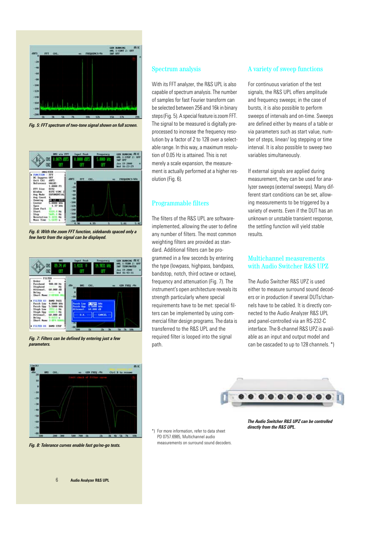

*Fig. 5: FFT spectrum of two-tone signal shown on full screen.*



*Fig. 6: With the zoom FFT function, sidebands spaced only a few hertz from the signal can be displayed.*



*Fig. 7: Filters can be defined by entering just a few parameters.*



*Fig. 8: Tolerance curves enable fast go/no-go tests.*

### Spectrum analysis

With its FFT analyzer, the R&S UPL is also capable of spectrum analysis. The number of samples for fast Fourier transform can be selected between 256 and 16k in binary steps (Fig. 5). A special feature is zoom FFT. The signal to be measured is digitally preprocessed to increase the frequency resolution by a factor of 2 to 128 over a selectable range. In this way, a maximum resolution of 0.05 Hz is attained. This is not merely a scale expansion, the measurement is actually performed at a higher resolution (Fig. 6).

### Programmable filters

The filters of the R&S UPL are softwareimplemented, allowing the user to define any number of filters. The most common weighting filters are provided as standard. Additional filters can be programmed in a few seconds by entering the type (lowpass, highpass, bandpass, bandstop, notch, third octave or octave), frequency and attenuation (Fig. 7). The instrument's open architecture reveals its strength particularly where special requirements have to be met: special filters can be implemented by using commercial filter design programs. The data is transferred to the R&S UPL and the required filter is looped into the signal path.

### A variety of sweep functions

For continuous variation of the test signals, the R&S UPL offers amplitude and frequency sweeps; in the case of bursts, it is also possible to perform sweeps of intervals and on-time. Sweeps are defined either by means of a table or via parameters such as start value, number of steps, linear/ log stepping or time interval. It is also possible to sweep two variables simultaneously.

If external signals are applied during measurement, they can be used for analyzer sweeps (external sweeps). Many different start conditions can be set, allowing measurements to be triggered by a variety of events. Even if the DUT has an unknown or unstable transient response, the settling function will yield stable results.

### Multichannel measurements with Audio Switcher R&S UPZ

The Audio Switcher R&S UPZ is used either to measure surround sound decoders or in production if several DUTs/channels have to be cabled. It is directly connected to the Audio Analyzer R&S UPL and panel-controlled via an RS-232-C interface. The 8-channel R&S UPZ is available as an input and output model and can be cascaded to up to 128 channels. \*)



*directly from the R&S UPL.* \*) For more information, refer to data sheet PD 0757.6985, Multichannel audio measurements on surround sound decoders.

*The Audio Switcher R&S UPZ can be controlled*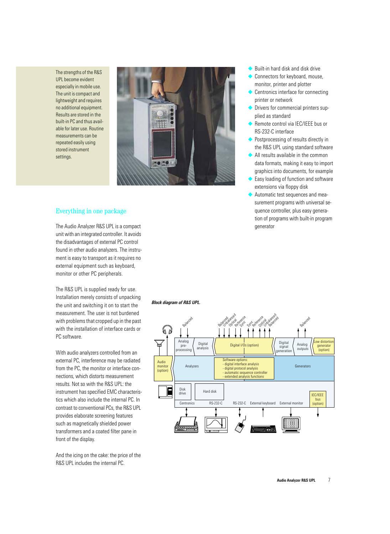The strengths of the R&S UPL become evident especially in mobile use. The unit is compact and lightweight and requires no additional equipment. Results are stored in the built-in PC and thus available for later use. Routine measurements can be repeated easily using stored instrument settings.



### Everything in one package

The Audio Analyzer R&S UPL is a compact unit with an integrated controller. It avoids the disadvantages of external PC control found in other audio analyzers. The instrument is easy to transport as it requires no external equipment such as keyboard, monitor or other PC peripherals.

The R&S UPL is supplied ready for use. Installation merely consists of unpacking the unit and switching it on to start the measurement. The user is not burdened with problems that cropped up in the past with the installation of interface cards or PC software.

With audio analyzers controlled from an external PC, interference may be radiated from the PC, the monitor or interface connections, which distorts measurement results. Not so with the R&S UPL: the instrument has specified EMC characteristics which also include the internal PC. In contrast to conventional PCs, the R&S UPL provides elaborate screening features such as magnetically shielded power transformers and a coated filter pane in front of the display.

And the icing on the cake: the price of the R&S UPL includes the internal PC.

- Built-in hard disk and disk drive
- ◆ Connectors for keyboard, mouse, monitor, printer and plotter
- ◆ Centronics interface for connecting printer or network
- Drivers for commercial printers supplied as standard
- ◆ Remote control via IEC/IEEE bus or RS-232-C interface
- ◆ Postprocessing of results directly in the R&S UPL using standard software
- ◆ All results available in the common data formats, making it easy to import graphics into documents, for example
- ◆ Easy loading of function and software extensions via floppy disk
- Automatic test sequences and measurement programs with universal sequence controller, plus easy generation of programs with built-in program generator

*Block diagram of R&S UPL.*

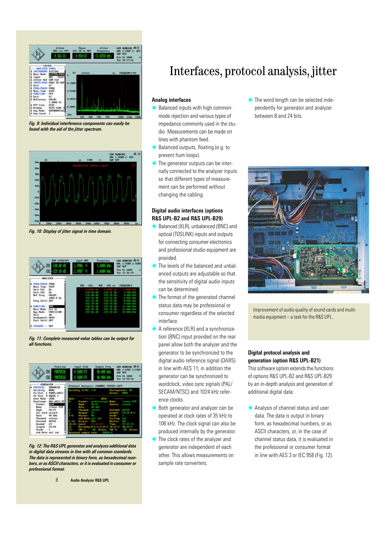

*Fig. 9: Individual interference components can easily be found with the aid of the jitter spectrum.*



*Fig. 10: Display of jitter signal in time domain.*



*Fig. 11: Complete measured-value tables can be output for all functions.*



*Fig. 12: The R&S UPL generates and analyzes additional data in digital data streams in line with all common standards. The data is represented in binary form, as hexadecimal numbers, or as ASCII characters, or it is evaluated in consumer or professional format.*

# Interfaces, protocol analysis, jitter

### **Analog interfaces**

- Balanced inputs with high commonmode rejection and various types of impedance commonly used in the studio. Measurements can be made on lines with phantom feed.
- Balanced outputs, floating (e.g. to prevent hum loops).
- The generator outputs can be internally connected to the analyzer inputs so that different types of measurement can be performed without changing the cabling.

### **Digital audio interfaces (options R&S UPL-B2 and R&S UPL-B29)**

- Balanced (XLR), unbalanced (BNC) and optical (TOSLINK) inputs and outputs for connecting consumer electronics and professional studio equipment are provided.
- The levels of the balanced and unbalanced outputs are adjustable so that the sensitivity of digital audio inputs can be determined.
- The format of the generated channel status data may be professional or consumer regardless of the selected interface.
- A reference (XLR) and a synchronization (BNC) input provided on the rear panel allow both the analyzer and the generator to be synchronized to the digital audio reference signal (DARS) in line with AES 11; in addition the generator can be synchronized to wordclock, video sync signals (PAL/ SECAM/NTSC) and 1024 kHz reference clocks.
- Both generator and analyzer can be operated at clock rates of 35 kHz to 106 kHz. The clock signal can also be produced internally by the generator.
- The clock rates of the analyzer and generator are independent of each other. This allows measurements on sample rate converters.

◆ The word length can be selected independently for generator and analyzer between 8 and 24 bits.



Improvement of audio quality of sound cards and multimedia equipment – a task for the R&S UPL.

### **Digital protocol analysis and generation (option R&S UPL-B21)**

This software option extends the functions of options R&S UPL-B2 and R&S UPL-B29 by an in-depth analysis and generation of additional digital data:

◆ Analysis of channel status and user data. The data is output in binary form, as hexadecimal numbers, or as ASCII characters, or, in the case of channel status data, it is evaluated in the professional or consumer format in line with AES 3 or IEC 958 (Fig. 12).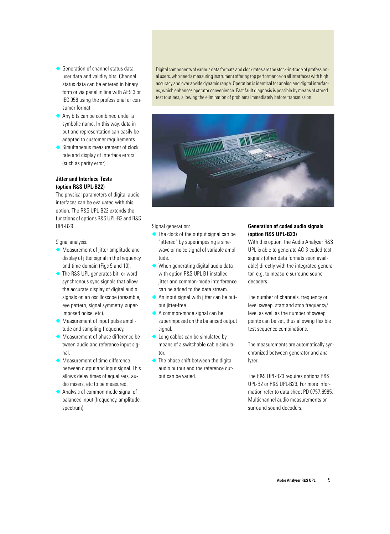- ◆ Generation of channel status data, user data and validity bits. Channel status data can be entered in binary form or via panel in line with AES 3 or IEC 958 using the professional or consumer format.
- Any bits can be combined under a symbolic name. In this way, data input and representation can easily be adapted to customer requirements.
- Simultaneous measurement of clock rate and display of interface errors (such as parity error).

### **Jitter and Interface Tests (option R&S UPL-B22)**

The physical parameters of digital audio interfaces can be evaluated with this option. The R&S UPL-B22 extends the functions of options R&S UPL-B2 and R&S UPL-B29.

Signal analysis:

- ◆ Measurement of jitter amplitude and display of jitter signal in the frequency and time domain (Figs 9 and 10).
- ◆ The R&S UPL generates bit- or wordsynchronous sync signals that allow the accurate display of digital audio signals on an oscilloscope (preamble, eye pattern, signal symmetry, superimposed noise, etc).
- Measurement of input pulse amplitude and sampling frequency.
- ◆ Measurement of phase difference between audio and reference input signal.
- ◆ Measurement of time difference between output and input signal. This allows delay times of equalizers, audio mixers, etc to be measured.
- Analysis of common-mode signal of balanced input (frequency, amplitude, spectrum).

Digital components of various data formats and clock rates are the stock-in-trade of professional users, who need a measuring instrument offering top performance on all interfaces with high accuracy and over a wide dynamic range. Operation is identical for analog and digital interfaces, which enhances operator convenience. Fast fault diagnosis is possible by means of stored test routines, allowing the elimination of problems immediately before transmission.



Signal generation:

- $\blacklozenge$  The clock of the output signal can be "jittered" by superimposing a sinewave or noise signal of variable amplitude.
- $\blacklozenge$  When generating digital audio data with option R&S UPL-B1 installed – iitter and common-mode interference can be added to the data stream.
- ◆ An input signal with jitter can be output jitter-free.
- ◆ A common-mode signal can be superimposed on the balanced output signal.
- ◆ Long cables can be simulated by means of a switchable cable simulator
- $\blacklozenge$  The phase shift between the digital audio output and the reference output can be varied.

### **Generation of coded audio signals (option R&S UPL-B23)**

With this option, the Audio Analyzer R&S UPL is able to generate AC-3-coded test signals (other data formats soon available) directly with the integrated generator, e.g. to measure surround sound decoders.

The number of channels, frequency or level sweep, start and stop frequency/ level as well as the number of sweep points can be set, thus allowing flexible test sequence combinations.

The measurements are automatically synchronized between generator and analyzer.

The R&S UPL-B23 requires options R&S UPL-B2 or R&S UPL-B29. For more information refer to data sheet PD 0757.6985, Multichannel audio measurements on surround sound decoders.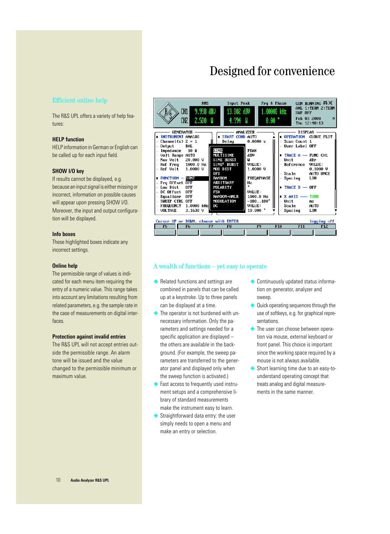# Designed for convenience

### Efficient online help

The R&S UPL offers a variety of help features:

### **HELP function**

HELP information in German or English can be called up for each input field.

### **SHOW I/O key**

If results cannot be displayed, e.g. because an input signal is either missing or incorrect, information on possible causes will appear upon pressing SHOW I/O. Moreover, the input and output configuration will be displayed.

### **Info boxes**

These highlighted boxes indicate any incorrect settings.

### **Online help**

The permissible range of values is indicated for each menu item requiring the entry of a numeric value. This range takes into account any limitations resulting from related parameters, e.g. the sample rate in the case of measurements on digital interfaces.

### **Protection against invalid entries**

The R&S UPL will not accept entries outside the permissible range. An alarm tone will be issued and the value changed to the permissible minimum or maximum value.



### A wealth of functions – yet easy to operate

- ◆ Related functions and settings are combined in panels that can be called up at a keystroke. Up to three panels can be displayed at a time.
- The operator is not burdened with unnecessary information. Only the parameters and settings needed for a specific application are displayed – the others are available in the background. (For example, the sweep parameters are transferred to the generator panel and displayed only when the sweep function is activated.)
- ◆ Fast access to frequently used instrument setups and a comprehensive library of standard measurements make the instrument easy to learn.
- ◆ Straightforward data entry: the user simply needs to open a menu and make an entry or selection.
- Continuously updated status information on generator, analyzer and sweep.
- Quick operating sequences through the use of softkeys, e.g. for graphical representations.
- ◆ The user can choose between operation via mouse, external keyboard or front panel. This choice is important since the working space required by a mouse is not always available.
- Short learning time due to an easy-tounderstand operating concept that treats analog and digital measurements in the same manner.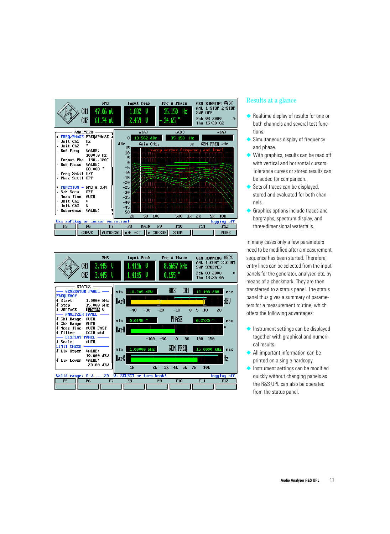



### Results at a glance

- Realtime display of results for one or both channels and several test functions.
- Simultaneous display of frequency and phase.
- ◆ With graphics, results can be read off with vertical and horizontal cursors. Tolerance curves or stored results can be added for comparison.
- ◆ Sets of traces can be displayed, stored and evaluated for both channels.
- ◆ Graphics options include traces and bargraphs, spectrum display, and three-dimensional waterfalls.

In many cases only a few parameters need to be modified after a measurement sequence has been started. Therefore, entry lines can be selected from the input panels for the generator, analyzer, etc, by means of a checkmark. They are then transferred to a status panel. The status panel thus gives a summary of parameters for a measurement routine, which offers the following advantages:

- ◆ Instrument settings can be displayed together with graphical and numerical results.
- ◆ All important information can be printed on a single hardcopy.
- Instrument settings can be modified quickly without changing panels as the R&S UPL can also be operated from the status panel.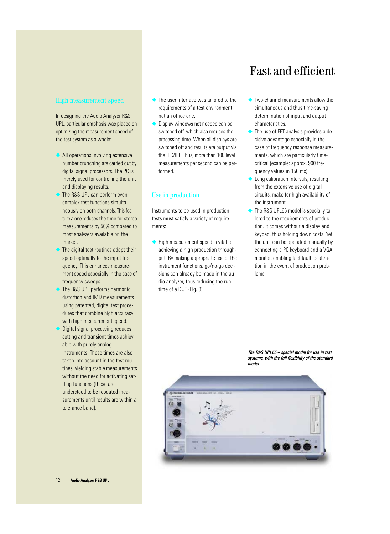# Fast and efficient

### High measurement speed

In designing the Audio Analyzer R&S UPL, particular emphasis was placed on optimizing the measurement speed of the test system as a whole:

- ◆ All operations involving extensive number crunching are carried out by digital signal processors. The PC is merely used for controlling the unit and displaying results.
- The R&S UPL can perform even complex test functions simultaneously on both channels. This feature alone reduces the time for stereo measurements by 50% compared to most analyzers available on the market.
- The digital test routines adapt their speed optimally to the input frequency. This enhances measurement speed especially in the case of frequency sweeps.
- The R&S UPL performs harmonic distortion and IMD measurements using patented, digital test procedures that combine high accuracy with high measurement speed.
- ◆ Digital signal processing reduces setting and transient times achievable with purely analog instruments. These times are also taken into account in the test routines, yielding stable measurements without the need for activating settling functions (these are understood to be repeated measurements until results are within a tolerance band).
- ◆ The user interface was tailored to the requirements of a test environment, not an office one.
- ◆ Display windows not needed can be switched off, which also reduces the processing time. When all displays are switched off and results are output via the IEC/IEEE bus, more than 100 level measurements per second can be performed.

### Use in production

Instruments to be used in production tests must satisfy a variety of requirements:

◆ High measurement speed is vital for achieving a high production throughput. By making appropriate use of the instrument functions, go/no-go decisions can already be made in the audio analyzer, thus reducing the run time of a DUT (Fig. 8).

- ◆ Two-channel measurements allow the simultaneous and thus time-saving determination of input and output characteristics.
- ◆ The use of FFT analysis provides a decisive advantage especially in the case of frequency response measurements, which are particularly timecritical (example: approx. 900 frequency values in 150 ms).
- ◆ Long calibration intervals, resulting from the extensive use of digital circuits, make for high availability of the instrument.
- ◆ The R&S UPL66 model is specially tailored to the requirements of production. It comes without a display and keypad, thus holding down costs. Yet the unit can be operated manually by connecting a PC keyboard and a VGA monitor, enabling fast fault localization in the event of production problems.



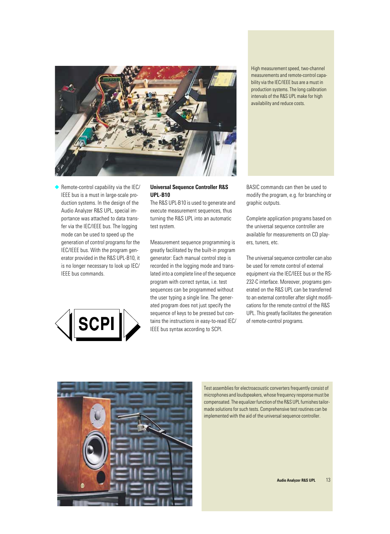

High measurement speed, two-channel measurements and remote-control capability via the IEC/IEEE bus are a must in production systems. The long calibration intervals of the R&S UPL make for high availability and reduce costs.

◆ Remote-control capability via the IEC/ IEEE bus is a must in large-scale production systems. In the design of the Audio Analyzer R&S UPL, special importance was attached to data transfer via the IEC/IEEE bus. The logging mode can be used to speed up the generation of control programs for the IEC/IEEE bus. With the program generator provided in the R&S UPL-B10, it is no longer necessary to look up IEC/ IEEE bus commands.



### **Universal Sequence Controller R&S UPL-B10**

The R&S UPL-B10 is used to generate and execute measurement sequences, thus turning the R&S UPL into an automatic test system.

Measurement sequence programming is greatly facilitated by the built-in program generator: Each manual control step is recorded in the logging mode and translated into a complete line of the sequence program with correct syntax, i.e. test sequences can be programmed without the user typing a single line. The generated program does not just specify the sequence of keys to be pressed but contains the instructions in easy-to-read IEC/ IEEE bus syntax according to SCPI.

BASIC commands can then be used to modify the program, e.g. for branching or graphic outputs.

Complete application programs based on the universal sequence controller are available for measurements on CD players, tuners, etc.

The universal sequence controller can also be used for remote control of external equipment via the IEC/IEEE bus or the RS-232-C interface. Moreover, programs generated on the R&S UPL can be transferred to an external controller after slight modifications for the remote control of the R&S UPL. This greatly facilitates the generation of remote-control programs.



Test assemblies for electroacoustic converters frequently consist of microphones and loudspeakers, whose frequency response must be compensated. The equalizer function of the R&S UPL furnishes tailormade solutions for such tests. Comprehensive test routines can be implemented with the aid of the universal sequence controller.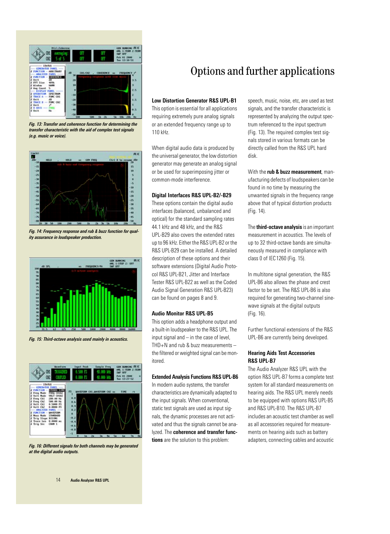

*Fig. 13: Transfer and coherence function for determining the transfer characteristic with the aid of complex test signals (e.g. music or voice).*



*Fig. 14: Frequency response and rub & buzz function for quality assurance in loudspeaker production.*



*Fig. 15: Third-octave analysis used mainly in acoustics.*



*Fig. 16: Different signals for both channels may be generated at the digital audio outputs.*

# Options and further applications

### **Low Distortion Generator R&S UPL-B1**

This option is essential for all applications requiring extremely pure analog signals or an extended frequency range up to 110 kHz.

When digital audio data is produced by the universal generator, the low distortion generator may generate an analog signal or be used for superimposing jitter or common-mode interference.

### **Digital Interfaces R&S UPL-B2/-B29**

These options contain the digital audio interfaces (balanced, unbalanced and optical) for the standard sampling rates 44.1 kHz and 48 kHz, and the R&S UPL-B29 also covers the extended rates up to 96 kHz. Either the R&S UPL-B2 or the R&S UPL-B29 can be installed. A detailed description of these options and their software extensions (Digital Audio Protocol R&S UPL-B21, Jitter and Interface Tester R&S UPL-B22 as well as the Coded Audio Signal Generation R&S UPL-B23) can be found on pages 8 and 9.

### **Audio Monitor R&S UPL-B5**

This option adds a headphone output and a built-in loudspeaker to the R&S UPL. The input signal and – in the case of level,  $THD+N$  and rub & buzz measurements  $$ the filtered or weighted signal can be monitored.

### **Extended Analysis Functions R&S UPL-B6**

In modern audio systems, the transfer characteristics are dynamically adapted to the input signals. When conventional, static test signals are used as input signals, the dynamic processes are not activated and thus the signals cannot be analyzed. The **coherence and transfer functions** are the solution to this problem:

speech, music, noise, etc, are used as test signals, and the transfer characteristic is represented by analyzing the output spectrum referenced to the input spectrum (Fig. 13). The required complex test signals stored in various formats can be directly called from the R&S UPL hard disk.

With the **rub & buzz measurement**, manufacturing defects of loudspeakers can be found in no time by measuring the unwanted signals in the frequency range above that of typical distortion products (Fig. 14).

The **third-octave analysis** is an important measurement in acoustics. The levels of up to 32 third-octave bands are simultaneously measured in compliance with class 0 of IEC1260 (Fig. 15).

In multitone signal generation, the R&S UPL-B6 also allows the phase and crest factor to be set. The R&S UPL-B6 is also required for generating two-channel sinewave signals at the digital outputs (Fig. 16).

Further functional extensions of the R&S UPL-B6 are currently being developed.

### **Hearing Aids Test Accessories R&S UPL-B7**

The Audio Analyzer R&S UPL with the option R&S UPL-B7 forms a complete test system for all standard measurements on hearing aids. The R&S UPL merely needs to be equipped with options R&S UPL-B5 and R&S UPL-B10. The R&S UPL-B7 includes an acoustic test chamber as well as all accessories required for measurements on hearing aids such as battery adapters, connecting cables and acoustic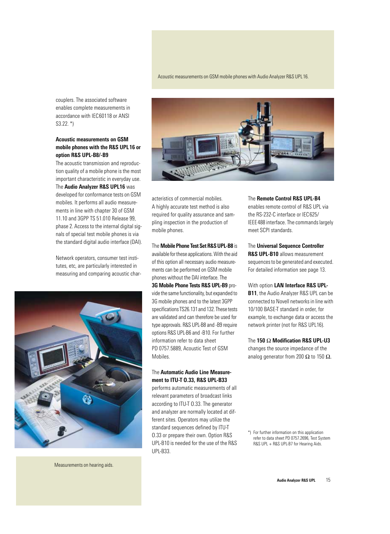couplers. The associated software enables complete measurements in accordance with IEC60118 or ANSI S3.22. \*)

### **Acoustic measurements on GSM mobile phones with the R&S UPL16 or option R&S UPL-B8/-B9**

The acoustic transmission and reproduction quality of a mobile phone is the most important characteristic in everyday use. The **Audio Analyzer R&S UPL16** was developed for conformance tests on GSM mobiles. It performs all audio measurements in line with chapter 30 of GSM 11.10 and 3GPP TS 51.010 Release 99, phase 2. Access to the internal digital signals of special test mobile phones is via the standard digital audio interface (DAI).

Network operators, consumer test institutes, etc, are particularly interested in measuring and comparing acoustic char-



acteristics of commercial mobiles. A highly accurate test method is also required for quality assurance and sampling inspection in the production of mobile phones.

### The **Mobile Phone Test Set R&S UPL-B8** is available for these applications. With the aid

of this option all necessary audio measurements can be performed on GSM mobile phones without the DAI interface. The

**3G Mobile Phone Tests R&S UPL-B9** provide the same functionality, but expanded to 3G mobile phones and to the latest 3GPP specifications TS26.131 and 132. These tests are validated and can therefore be used for type approvals. R&S UPL-B8 and -B9 require options R&S UPL-B6 and -B10. For further information refer to data sheet PD 0757.5889, Acoustic Test of GSM Mobiles.

### The **Automatic Audio Line Measurement to ITU-T O.33, R&S UPL-B33**

performs automatic measurements of all relevant parameters of broadcast links according to ITU-T O.33. The generator and analyzer are normally located at different sites. Operators may utilize the standard sequences defined by ITU-T O.33 or prepare their own. Option R&S UPL-B10 is needed for the use of the R&S UPL-B33.

The **Remote Control R&S UPL-B4**

enables remote control of R&S UPL via the RS-232-C interface or IEC625/ IEEE488 interface. The commands largely meet SCPI standards.

### The **Universal Sequence Controller R&S UPL-B10** allows measurement sequences to be generated and executed. For detailed information see page 13.

With option **LAN Interface R&S UPL-**

**B11**, the Audio Analyzer R&S UPL can be connected to Novell networks in line with 10/100 BASE-T standard in order, for example, to exchange data or access the network printer (not for R&S UPL16).

The **150** Ω **Modification R&S UPL-U3** changes the source impedance of the analog generator from 200  $\Omega$  to 150  $\Omega$ .

\*) For further information on this application refer to data sheet PD 0757.2696, Test System R&S UPL + R&S UPL-B7 for Hearing Aids.

Measurements on hearing aids.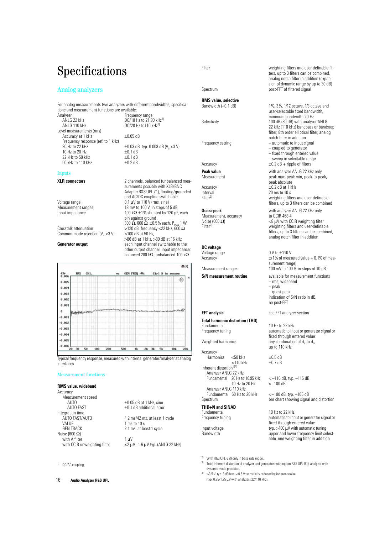# Specifications

### Analog analyzers

For analog measurements two analyzers with different bandwidths, specifications and measurement functions are available:

alyzer Frequency range<br>ANLG 22 kHz **Frequency range 1986** ANLG 22 kHz<br>
ANLG 110 kHz<br>
DC/20 Hz to 110 kHz<sup>1)</sup> Level measurements (rms) Accuracy at 1 kHz  $\pm 0.05$  dB Frequency response (ref. to 1 kHz)<br>20 Hz to 22 kHz 10 Hz to 20 Hz  $\pm$ 0.1 dB<br>22 kHz to 50 kHz  $\pm$ 0.1 dB 22 kHz to 50 kHz<br>50 kHz to 110 kHz<br> $+0.1$  dB 50 kHz to 110 kHz

DC/20 Hz to110 kHz<sup>1)</sup>  $\pm 0.03$  dB, typ. 0.003 dB (V<sub>in</sub> <3 V)<br> $\pm 0.1$  dB

### Inputs

### **XLR connectors** 2 channels, balanced (unbalanced mea-

|                                        | surements possible with XLR/BNC                                                |
|----------------------------------------|--------------------------------------------------------------------------------|
|                                        | Adapter R&S UPL-Z1), floating/grounded                                         |
|                                        | and AC/DC coupling switchable                                                  |
| Voltage range                          | $0.1 \mu V$ to 110 V (rms, sine)                                               |
| Measurement ranges                     | 18 mV to 100 V, in steps of 5 dB                                               |
| Input impedance                        | 100 k $\Omega$ ±1% shunted by 120 pF, each                                     |
|                                        | pin against ground                                                             |
|                                        | 300 $\Omega$ , 600 $\Omega$ , ±0.5% each, P <sub>may</sub> 1 W                 |
| Crosstalk attenuation                  | >120 dB, frequency <22 kHz, 600 $\Omega$                                       |
| Common-mode rejection $(V_{in} < 3 V)$ | $>100$ dB at 50 Hz.                                                            |
|                                        | >86 dB at 1 kHz, >80 dB at 16 kHz                                              |
| <b>Generator output</b>                | each input channel switchable to the<br>other output channel, input impedance: |

再加 GEN FREQ /Hz dBr<br>0.006 **BMS** CHI Ctrl D to re ¢  $0.005$  $0.001$ 0.003  $0.002$  $0.001$ Ò  $-0.001$ 0.00  $-0.00$  $-0.001$  $-0.005$  $-0.000$  $50$ 100 200 500  $2k$   $3k$  $5k$ īk 10k 20

Typical frequency response, measured with internal generator/analyzer at analog interfaces

### Measurement functions

### **RMS value, wideband**

Accuracy Measurement speed<br>AUTO AUTO  $\pm 0.05$  dB at 1 kHz, sine<br>AUTO FAST  $\pm 0.1$  dB additional erro Integration time<br>AUTO FAST/AUTO AUTO FAST/AUTO<br>VALUE 1 ms to 10 s<br>1 ms to 10 s VALUE 1 ms to 10 s<br>GEN TRACK 2.1 ms. at lea Noise (600 $Ω$ ) with A filter 1 µV with CCIR unweighting filter  $\langle 2 \mu V, 1.6 \mu V$  typ. (ANLG 22 kHz)

balanced 200 kΩ, unbalanced 100 kΩ

 $±0.1$  dB additional error

2.1 ms, at least 1 cycle

1) DC/AC coupling.

### **RMS value, selective**

Measurement, accuracy<br>Noise (600 $\Omega$ )

### **DC voltage**

Voltage range 0 V to  $\pm$ 110 V<br>Accuracy  $\pm$ (1% of meas

## **Total harmonic distortion (THD)**

Accuracy Harmonics <50 kHz  $\pm$ 0.5 dB<br><110 kHz  $\pm$ 0.7 dB  $<$ 110 kHz Inherent distortion<sup>3)4)</sup> Analyzer ANLG 22 kHz Fundamental  $20$  Hz to  $10.95$  kHz  $\left(-110$  dB, typ.  $-115$  dB<br> $\left(-100\right)$   $\left(\frac{1}{2}\right)$   $\left(-100\right)$   $\left(\frac{1}{2}\right)$   $\left(-100\right)$   $\left(\frac{1}{2}\right)$ 10 Hz to 20 Hz Analyzer ANLG 110 kHz Fundamental 50 Hz to 20 kHz <–100 dB, typ. –105 dB

## **THD+N and SINAD**

2) With R&S UPL-B29 only in base rate mode.

3) Total inherent distortion of analyzer and generator (with option R&S UPL-B1), analyzer with dynamic mode precision.

 $4<sup>4</sup>$  >3.5 V: typ. 3 dB less; <0.5 V: sensitivity reduced by inherent noise (typ. 0.25/1.25 µV with analyzers 22/110 kHz).

Filter **Example 20** Filters and user-definable filters, up to 3 filters can be combined, analog notch filter in addition (expansion of dynamic range by up to 30 dB) Spectrum post-FFT of filtered signal

Bandwidth (–0.1 dB) 1%, 3%, 1/12 octave, 1/3 octave and user-selectable fixed bandwidth, minimum bandwidth 20 Hz Selectivity 100 dB (80 dB) with analyzer ANLG 22 kHz (110 kHz) bandpass or bandstop filter, 8th order elliptical filter, analog notch filter in addition Frequency setting  $-$  automatic to input signal – coupled to generator – fixed through entered value – sweep in selectable range Accuracy  $\pm 0.2$  dB + ripple of filters **Peak value**<br>
Measurement<br>
Measurement<br>
Measurement<br> **Measurement**<br>  $\frac{1}{2}$  peak max, peak min, peak-to-pe peak max, peak min, peak-to-peak, peak absolute Accuracy  $\pm 0.2$  dB at 1 kHz<br>Interval 20 ms to 10 s Interval 20 ms to 10 s<br>Filter<sup>2)</sup> weighting filter weighting filters and user-definable filters, up to 3 filters can be combined

**Quasi-peak** with analyzer ANLG 22 kHz only<br>
Measurement. accuracy by to CCIR 468-4 Noise (600 Ω)  $\langle 8 \mu V \text{ with CCR weighting filter} \rangle$ <br>Filter<sup>2)</sup> weighting filters and user-definal weighting filters and user-definable filters, up to 3 filters can be combined, analog notch filter in addition

 $\pm$ (1% of measured value + 0.1% of measurement range) Measurement ranges 100 mV to 100 V, in steps of 10 dB

**S/N** measurement routine available for measurement functions – rms, wideband – peak – quasi-peak indication of S/N ratio in dB, no post-FFT

**FFT analysis** see FFT analyzer section

10 Hz to 22 kHz Frequency tuning automatic to input or generator signal or fixed through entered value Weighted harmonics any combination of  $d_2$  to  $d_{9}$ , up to 110 kHz

bar chart showing signal and distortion

10 Hz to 22 kHz Frequency tuning automatic to input or generator signal or fixed through entered value Input voltage  $typ. >100 \mu V$  with automatic tuning Bandwidth upper and lower frequency limit selectable, one weighting filter in addition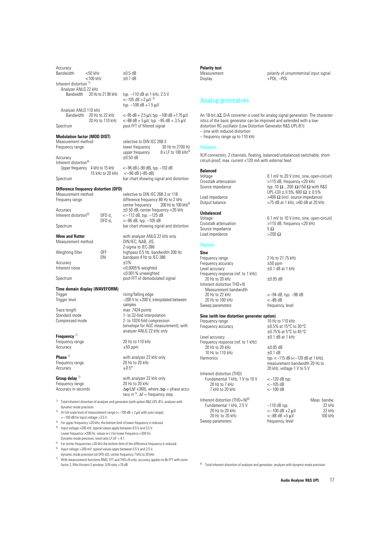| Accuracy<br>Bandwidth                                                                    | <50 kHz<br><100 kHz                     |                                          | $\pm 0.5$ dB<br>$\pm 0.7$ dB                                                                                                                        |  |
|------------------------------------------------------------------------------------------|-----------------------------------------|------------------------------------------|-----------------------------------------------------------------------------------------------------------------------------------------------------|--|
| Inherent distortion <sup>1)</sup>                                                        |                                         |                                          |                                                                                                                                                     |  |
| Analyzer ANLG 22 kHz<br>Bandwidth 20 Hz to 21.90 kHz                                     |                                         |                                          | typ. -110 dB at 1 kHz, 2.5 V<br>$<-105$ dB +2 $\mu$ V <sup>2)</sup><br>typ. -108 dB +1.5 uV                                                         |  |
| Analyzer ANLG 110 kHz<br>Bandwidth 20 Hz to 22 kHz                                       |                                         | 20 Hz to 110 kHz                         | $\leftarrow$ 95 dB + 2.5 $\mu$ V, typ. -100 dB +1.75 $\mu$ V<br><-88 dB + 5 $\mu$ V, typ. -95 dB + 3.5 $\mu$ V                                      |  |
| Spectrum                                                                                 |                                         |                                          | post-FFT of filtered signal                                                                                                                         |  |
| <b>Modulation factor (MOD DIST)</b><br>Measurement method<br>Frequency range             |                                         |                                          | selective to DIN IEC 268-3<br>30 Hz to 2700 Hz<br>lower frequency<br>upper frequency $8 \times$ LF to 100 kHz <sup>3)</sup>                         |  |
| Accuracy                                                                                 |                                         |                                          | $\pm 0.50$ dB                                                                                                                                       |  |
| Inherent distortion <sup>4)</sup><br>Upper frequency 4 kHz to 15 kHz<br>15 kHz to 20 kHz |                                         |                                          | $<-96$ dB ( $-90$ dB), typ. $-103$ dB<br>$<-96$ dB $(-85$ dB)                                                                                       |  |
| Spectrum                                                                                 |                                         |                                          | bar chart showing signal and distortion                                                                                                             |  |
| Difference frequency distortion (DFD)<br>Measurement method<br>Frequeny range            |                                         |                                          | selective to DIN IEC 268-3 or 118<br>difference frequency 80 Hz to 2 kHz<br>center frequency 200 Hz to 100 kHz <sup>5)</sup>                        |  |
| Accuracy<br>Inherent distortion <sup>6)</sup>                                            |                                         | DFD d <sub>2</sub><br>DPD d <sub>3</sub> | ±0.50 dB, center frequency <20 kHz<br><-112 dB, typ. -125 dB<br><-96 dB, typ. -105 dB                                                               |  |
| Spectrum                                                                                 | bar chart showing signal and distortion |                                          |                                                                                                                                                     |  |
| <b>Wow and flutter</b><br>Measurement method                                             |                                         |                                          | with analyzer ANLG 22 kHz only<br>DIN/IEC, NAB, JIS,<br>2-sigma to IEC-386                                                                          |  |
| Weighting filter                                                                         |                                         | 0FF<br>0N                                | highpass 0.5 Hz, bandwidth 200 Hz<br>bandpass 4 Hz to IEC-386                                                                                       |  |
| Accuracy<br>Inherent noise                                                               |                                         |                                          | $\pm 3\%$<br><0.0005% weighted<br><0.001% unweighted                                                                                                |  |
| Spectrum                                                                                 |                                         |                                          | post-FFT of demodulated signal                                                                                                                      |  |
| Time domain display (WAVEFORM)<br>Trigger<br>Trigger level                               |                                         |                                          | rising/falling edge<br>$-200$ V to $+200$ V, interpolated between<br>samples                                                                        |  |
| Trace length<br>Standard mode<br>Compressed mode                                         |                                         |                                          | max. 7424 points<br>1- to 32-fold interpolation<br>2- to 1024-fold compression<br>(envelope for AGC measurement), with<br>analyzer ANLG 22 kHz only |  |
| Frequency $71$<br>Frequency range<br>Accuracy                                            |                                         |                                          | 20 Hz to 110 kHz<br>$\pm 50$ ppm                                                                                                                    |  |
| Phase $\frac{7}{2}$<br>Frequency range<br>Accuracy                                       |                                         |                                          | with analyzer 22 kHz only<br>20 Hz to 20 kHz<br>$\pm 0.5^{\circ}$                                                                                   |  |

Frequency range<br>Accuracy in seconds

**Group delay** <sup>7</sup> with analyzer 22 kHz only<br>Frequency range **1998** 20 Hz to 20 kHz  $\Delta \varphi / (\Delta f \times 360)$ , where  $\Delta \varphi$  = phase accuracy in  $\degree$ ,  $\Delta f$  = frequency step

- <sup>1)</sup> Total inherent distortion of analyzer and generator (with option R&S UPL-B1), analyzer with dynamic mode precision.
- At full-scale level of measurement range ( $<-100$  dB + 2  $\mu$ V with auto range), <–100 dB for input voltage >3.5 V.
- <sup>3)</sup> For upper frequency >20 kHz, the bottom limit of lower frequency is reduced.
- 4) Input voltage >200 mV, typical values apply between 0.5 V and 3.5 V. Lower frequency >200 Hz, values in ( ) for lower frequency <200 Hz. Dynamic mode precision; level ratio LF:UF = 4:1.
- $5)$  For center frequencies > 20 kHz the bottom limit of the difference frequency is reduced.
- $6$ ) Input voltage >200 mV, typical values apply between 0.5 V and 3.5 V, dynamic mode precision (at DFD d2), center frequency 7 kHz to 20 kHz.
- $7)$  With measurement functions RMS, FFT and THD+N only, accuracy applies to 8k FFT with zoom factor 2, Rife-Vincent-2 window; S/N ratio >70 dB.

**Polarity test**

Measurement polarity of unsymmetrical input signal<br>Display  $\text{POL} - \text{POL}$  $+$ POL,  $-$ POL

### Analog generators

An 18-bit ∆Σ D/A converter is used for analog signal generation. The characteristics of the basic generator can be improved and extended with a lowdistortion RC oscillator (Low Distortion Generator R&S UPL-B1): – sine with reduced distortion – frequency range up to 110 kHz

**Outputs** 

XLR connectors, 2 channels, floating, balanced/unbalanced switchable, shortcircuit-proof; max. current <120 mA with external feed

### **Balanced**

### **Unbalanced**

Source impedance  $5 \Omega$ <br>Load impedance  $>200 \Omega$ Load impedance

### Signals

**Sine**<br>Frequency range Frequency accuracy  $\pm$ 50 ppm<br>
Level accuracy  $\pm$ 0.1 dB at 1 kHz Level accuracy Frequency response (ref. to 1 kHz)  $20 \text{ Hz}$  to  $20 \text{ kHz}$   $+0.05 \text{ dB}$ Inherent distortion THD+N Measurement bandwidth<br>20 Hz to 22 kHz 20 Hz to 100 kHz Sweep parameters frequency, level

## **Sine (with low distortion generator option)**<br>Frequency range 10 Hz to 110 kHz

Frequency range 10 Hz to 110 kHz<br>Frequency accuracy to the H0.5% at 15°C to 30°C Frequency accuracy Level accuracy  $\pm 0.1$  dB at 1 kHz Frequency response (ref. to 1 kHz)  $20$  Hz to 20 kHz  $\pm 0.05$  dB<br>10 Hz to 110 kHz  $\pm 0.1$  dB 10 Hz to 110 kHz<br>Harmonics

Inherent distortion (THD) Fundamental 1 kHz,  $1 \times 10 \times 100 \times 120$  dB typ. 20 Hz to 7 kHz <–105 dB 7 kHz to 20 kHz

Inherent distortion  $(THD+N)^{8}$ <br>Fundamental 1 kHz, 2.5 V -110 dB typ. 22 kHz Fundamental 1 kHz,  $2.5 \text{ V}$  -110 dB typ. 20 Hz to 20 kHz <–100 dB +2 µV 22 kHz Sweep parameters frequency, level

Voltage 0.1 mV to 20 V (rms, sine, open-circuit) Crosstalk attenuation  $>115$  dB, frequency <20 kHz<br>Source impedance typ.  $10 \Omega$ ,  $200 \Omega(150 \Omega)$  with typ. 10  $\Omega$ , 200  $\Omega(150 \Omega)$  with R&S UPL-U3) ± 0.5%, 600 Ω ± 0.5% Load impedance  $>400 \Omega$  (incl. source impedance)<br>Output balance  $>75$  dB at 1 kHz,  $>60$  dB at 20 kH.  $>$ 75 dB at 1 kHz,  $>$ 60 dB at 20 kHz

Voltage 0.1 mV to 10 V (rms, sine, open-circuit)<br>Crosstalk attenuation 5115 dB, frequency <20 kHz  $>$ 115 dB, frequency <20 kHz<br>5  $\Omega$ 

 $2$  Hz to 21.75 kHz<br> $\pm 50$  ppm

 $<-94$  dB, typ.  $-98$  dB<br> $<-86$  dB

±0.75% at 5°C to 45°C

typ.  $<-115$  dB  $(<-120$  dB at 1 kHz), measurement bandwidth 20 Hz to 20 kHz, voltage 1 V to 5 V

 $<-88$  dB  $+5 \mu V$ 

8) Total inherent distortion of analyzer and generator, analyzer with dynamic mode precision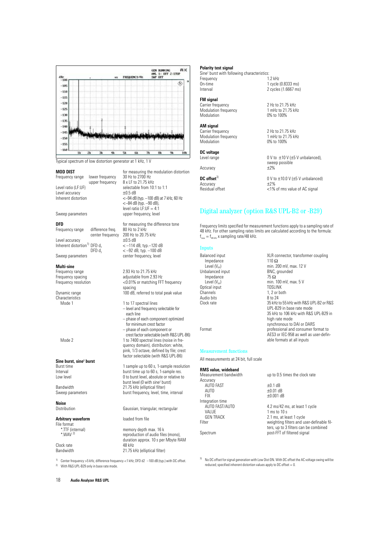

 $<$ -84 dB (typ.  $-90$  dB), level ratio LF:UF = 4:1

spacing

each line

– level and frequency selectable for

– phase of each component optimized for minimum crest factor – phase of each component or

quency domain), distribution: white, pink, 1/3 octave, defined by file; crest factor selectable (with R&S UPL-B6)

burst time up to 60 s, 1-sample res.

burst frequency, level, time, interval

reproduction of audio files (mono), duration approx. 10 s per Mbyte RAM<br>48 kHz

burst level (0 with sine<sup>2</sup> burst)

crest factor selectable (with R&S UPL-B6)

Typical spectrum of low distortion generator at 1 kHz, 1 V

**MOD DIST** for measuring the modulation distortion<br>Frequency range lower frequency 30 Hz to 2700 Hz Frequency range lower frequency 30 Hz to 2700 Hz upper frequency Level ratio (LF:UF)  $\begin{array}{ccc} \n\text{selectable from 10:1 to 1:1} \\
\text{Level accuracy} & \pm 0.5 \text{ dB}\n\end{array}$ Level accuracy Inherent distortion <–94 dB (typ. –100 dB) at 7 kHz, 60 Hz

Sweep parameters values of the upper frequency, level

**DFD DFD** for measuring the difference tone<br>Frequency range difference freq. 80 Hz to 2 kHz Frequency range center frequency 200 Hz to 20.75 kHz Level accuracy  $\pm 0.5$  dB Inherent distortion<sup>1)</sup> DFD  $d_2$   $\leq -114$  dB, typ.–120 dB DFD  $d_3$   $\leq -92$  dB, typ.  $-100$  dB Sweep parameters center frequency, level

**Multi-sine** Frequency range 2.93 Hz to 21.75 kHz Frequency spacing adjustable from 2.93 Hz Frequency resolution <0.01% or matching FFT frequency

Dynamic range 100 dB, referred to total peak value Characteristics Mode 1 1 to 17 spectral lines

Mode 2 1 to 7400 spectral lines (noise in fre-

### **Sine burst, sine2 burst**

Burst time 1 sample up to 60 s, 1-sample resolution<br>
1 burst time up to 60 s, 1-sample res. Low level **Low** level **Low** level, absolute or relative to

Bandwidth 21.75 kHz (elliptical filter)<br>Sweep parameters burst frequency, level, time

**Noise** Distribution Gaussian, triangular, rectangular

### **Arbitrary waveform loaded from file**

File format<br>TTF (internal)\* \*.TTF (internal) memory depth max. 16 k

### Clock rate Bandwidth 21.75 kHz (elliptical filter)

1) Center frequency >5 kHz, difference frequency <1 kHz; DFD d2 –100 dB (typ.) with DC offset. 2) With R&S UPL-B29 only in base rate mode.

**Polarity test signal**

Sine2 burst with following characteristics: Frequency 1.2 kHz<br>On-time 1 cycle On-time 1 cycle (0.8333 ms)<br>Interval 2 cycles (1.6667 ms) 2 cycles (1.6667 ms)

## **FM signal**<br>Carrier frequency

Modulation frequency 1 mHz to 21.<br>Modulation 0% to 100% **Modulation** 

### **AM signal**

Carrier frequency 2 Hz to 21.75 kHz<br>Modulation frequency 1 mHz to 21.75 kHz Modulation frequency 1 mHz to 21.<br>Modulation 0% to 100% Modulation

## **DC voltage**

Accuracy

Accuracy

2 Hz to 21.75 kHz<br>1 mHz to 21.75 kHz

 $0 \vee$  to  $\pm 10 \vee (\pm 5 \vee$  unbalanced), sweep possible<br>±2%

**DC offset<sup>3)</sup>**  $0 \lor$  to  $\pm 10.0 \lor (\pm 5 \lor$  unbalanced)<br>Accuracy  $+2\%$ Residual offset <1% of rms value of AC signal

synchronous to DAI or DARS

able formats at all inputs

AES3 or IEC-958 as well as user-defin-

### Digital analyzer (option R&S UPL-B2 or -B29)

Frequency limits specified for measurement functions apply to a sampling rate of 48 kHz. For other sampling rates limits are calculated according to the formula:  $f_{\text{new}} = f_{\text{48 kHz}}$  x sampling rate/48 kHz.

### Inputs

Balanced input  $XLR$  connector, transformer coupling<br>Impedance  $110 \Omega$ Impedance<br>Level (V<sub>oo</sub>) min. 200 mV, max. 12 V<br>BNC, grounded Unbalanced input BNC,<br>Impedance 75  $\Omega$ Impedance  $Level (V_{PP})$  min. 100 mV, max. 5 V<br>tical input TOSLINK Optical input 1, 2 or both<br>8 to 24 Audio bits<br>Clock rate 35 kHz to 55 kHz with R&S UPL-B2 or R&S UPL-B29 in base rate mode 35 kHz to 106 kHz with R&S UPL-B29 in high rate mode

Format **professional and consumer format to** 

Measurement functions

All measurements at 24 bit, full scale

### **RMS value, wideband**

| up to 0.5 times the clock rate            |  |
|-------------------------------------------|--|
|                                           |  |
| $\pm 0.1$ dB                              |  |
| $\pm 0.01$ dB                             |  |
| $\pm 0.001$ dB                            |  |
|                                           |  |
| 4.2 ms/42 ms, at least 1 cycle            |  |
| $1 \text{ ms}$ to $10 \text{ s}$          |  |
| 2.1 ms, at least 1 cycle                  |  |
| weighting filters and user-definable fil- |  |
| ters, up to 3 filters can be combined     |  |
| post-FFT of filtered signal               |  |
|                                           |  |

No DC offset for signal generation with Low Dist ON. With DC offset the AC voltage swing will be reduced; specified inherent distortion values apply to DC offset  $= 0$ .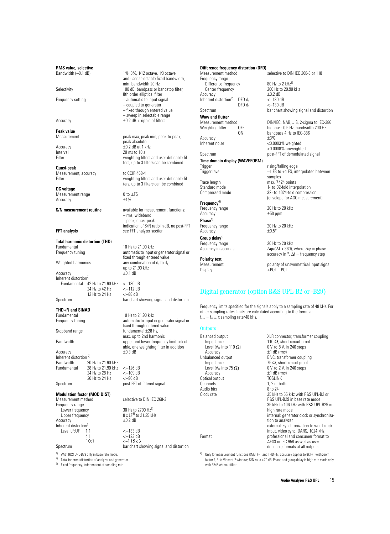**RMS value, selective**<br>Bandwidth (-0.1 dB)

**Peak value**

**Quasi-peak** Measurement, accuracy to CCIR 468-4<br>Filter<sup>1)</sup> weighting filte

**DC voltage** Measurement range  $0$  to  $\pm$ FS<br>Accuracy  $+1\%$ Accuracy

# **Total harmonic distortion (THD)**

Accuracy Inherent distortion<sup>2)</sup> Fundamental 42 Hz to 21.90 kHz <–130 dB 24 Hz to 42 Hz 12 Hz to 24 Hz <–88 dB

## **THD+N and SINAD**

### Accuracy  $\pm 0.3$  dB Inherent distortion<sup>2)</sup><br>Bandwidth 20 Bandwidth 20 Hz to 21.90 kHz<br>Fundamental 28 Hz to 21.90 kHz  $28$  Hz to 21.90 kHz  $\leftarrow$  -126 dB<br>24 Hz to 28 Hz  $\leftarrow$  -109 dB 24 Hz to 28 Hz  $<-109$  dl<br>20 Hz to 24 Hz  $<-96$  dB 20 Hz to 24 Hz

## **Modulation factor (MOD DIST)**

Frequency range Lower frequency<br>
Upper frequency<br>
Upper frequency<br>
38 x LF<sup>3)</sup> to 21.25 kHz Accuracy Inherent distortion<sup>2)</sup><br>Level LF:UF 1:1 Level LF:UF 1:1  $<-133$  dB<br>4:1  $<-123$  dB

1%, 3%, 1/12 octave, 1/3 octave and user-selectable fixed bandwidth, min. bandwidth 20 Hz Selectivity 100 dB, bandpass or bandstop filter, 8th order elliptical filter Frequency setting  $-$  automatic to input signal – coupled to generator – fixed through entered value – sweep in selectable range Accuracy  $\pm 0.2$  dB + ripple of filters

peak max, peak min, peak-to-peak, peak absolute Accuracy  $\pm 0.2$  dB at 1 kHz<br>Interval 20 ms to 10 s Interval 20 ms to 10 s<br>Filter<sup>11</sup> weighting filter weighting filters and user-definable filters, up to 3 filters can be combined

> weighting filters and user-definable filters, up to 3 filters can be combined

**S/N** measurement routine available for measurement functions: – rms, wideband – peak, quasi-peak indication of S/N ratio in dB, no post-FFT **FFT analysis** see FFT analyzer section

10 Hz to 21.90 kHz Frequency tuning **Exercise 20** automatic to input or generator signal or fixed through entered value Weighted harmonics any combination of  $d_2$  to  $d_9$ up to  $21.90$  kHz<br> $\pm 0.1$  dB

Spectrum bar chart showing signal and distortion

10 Hz to 21.90 kHz Frequency tuning **Example 20** automatic to input or generator signal or fixed through entered value Stopband range fundamental  $\pm 28$  Hz, max. up to 2nd harmonic Bandwidth upper and lower frequency limit selectable, one weighting filter in addition

Spectrum post-FFT of filtered signal

selective to DIN IEC 268-3

 $8 \times LF^{3}$  to 21.25 kHz<br> $\pm 0.2$  dB  $4:1$   $<-123$  dB<br>10:1  $\leq -115$  dB  $<-115$  dB

Spectrum bar chart showing signal and distortion

<sup>1)</sup> With R&S UPL-B29 only in base rate mode.<br><sup>2)</sup> Tetal inherent distantion of positions and no

Total inherent distortion of analyzer and generator.

<sup>3)</sup> Fixed frequency, independent of sampling rate.

## **Difference frequency distortion (DFD)**

Frequency range Difference frequency 80 Hz to 2 kHz<sup>3)</sup><br>Center frequency 200 Hz to 20.90 kHz Center frequency  $200 \text{ Hz}$  to  $200 \text{ Hz}$  to  $+0.2 \text{ dB}$  $\frac{\pm 0.2 \text{ dB}}{\text{Inherent distortion}^2}$  DFD d,  $\leq -130 \text{ dB}$ Inherent distortion<sup>2)</sup> DFD  $d_2$ <br>DFD  $d_3$ 

**Wow and flutter** Accuracy<br>Inherent noise

## **Time domain display (WAVEFORM)**<br>Trigger

### **Frequency4)**

Accuracy  $\pm 50$  ppm **Phase**4)

Accuracy **Group delay**4)

**Polarity test**

selective to DIN IEC 268-3 or 118  $<-130$  dB

Spectrum **bar chart showing signal and distortion** 

Measurement method<br>
Weighting filter
OFF
BREE Resources Alaphass
0.5 Hz, bandwidth
200 Hz
0.5 Hz, bandwidth
200 Hz
0.5 Hz, bandwidth
200 Hz
1 OFF highpass 0.5 Hz, bandwidth 200 Hz<br>ON handpass 4 Hz to IFC-386 bandpass 4 Hz to IEC-386<br> $\pm 3\%$ <0.0003% weighted <0.0008% unweighted Spectrum post-FFT of demodulated signal

Trigger rising/falling edge<br>Trigger level end and the control of FS to +1 FS, int  $-1$  FS to  $+1$  FS, interpolated between samples Trace length max. 7424 points<br>
Standard mode 1-to 32-fold inter Standard mode<br>
Compressed mode<br>
22- to 1024-fold compression of the same state of the 32- to 1024-fold compression<br>
23- to 1024-fold compression 32- to 1024-fold compression (envelope for AGC measurement)

Frequency range 20 Hz to 20 kHz

Frequency range 20 Hz to 20 kHz<br>Accuracy + 0.5°

Frequency range 20 Hz to 20 kHz<br>Accuracy in seconds  $\Delta \varphi/(\Delta f \times 360)$ ,  $\Delta \varphi / (\Delta f \times 360)$ , where  $\Delta \varphi =$  phase accuracy in  $\degree$ ,  $\Delta f$  = frequency step

Measurement polarity of unsymmetrical input signal<br>Display  $\text{POL} - \text{POL}$  $+$ POL,  $-$ POL

### Digital generator (option R&S UPL-B2 or -B29)

Frequency limits specified for the signals apply to a sampling rate of 48 kHz. For other sampling rates limits are calculated according to the formula:  $f_{\text{new}} = f_{\text{48 kHz}}$  x sampling rate/48 kHz.

### **Outputs**

| Balanced output                            | XLR connector, transformer coupling                            |
|--------------------------------------------|----------------------------------------------------------------|
| Impedance                                  | 110 $\Omega$ , short-circuit-proof<br>0 V to 8 V, in 240 steps |
| Level (V <sub>PP</sub> into 110 $\Omega$ ) |                                                                |
| Accuracy                                   | $\pm$ 1 dB (rms)                                               |
| Unbalanced output                          | BNC, transformer coupling                                      |
| Impedance                                  | 75 $\Omega$ , short-circuit-proof                              |
| Level (V <sub>PP</sub> into 75 $\Omega$ )  | 0 V to 2 V, in 240 steps                                       |
| Accuracy                                   | $±1$ dB (rms)                                                  |
| Optical output                             | TOSLINK                                                        |
| Channels                                   | 1, 2 or both                                                   |
| Audio bits                                 | 8 to 24                                                        |
| Clock rate                                 | 35 kHz to 55 kHz with R&S UPL-B2 or                            |
|                                            | R&S UPL-B29 in base rate mode                                  |
|                                            | 35 kHz to 106 kHz with R&S UPL-B29 in                          |
|                                            | high rate mode                                                 |
|                                            | internal: generator clock or synchroniza-                      |
|                                            | tion to analyzer                                               |
|                                            | external: synchronization to word clock                        |
|                                            | input, video sync, DARS, 1024 kHz                              |
| Format                                     | professional and consumer format to                            |
|                                            | AES3 or IEC-958 as well as user-                               |
|                                            | definable formats at all outputs                               |
|                                            |                                                                |

4) Only for measurement functions RMS, FFT and THD+N, accuracy applies to 8k FFT with zoom factor 2, Rife-Vincent-2 window; S/N ratio >70 dB. Phase and group delay in high rate mode only with RMS without filter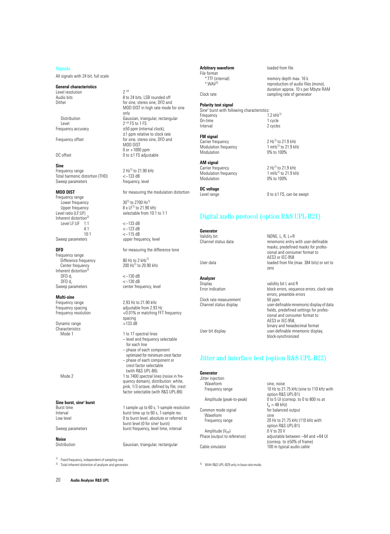### Signals

All signals with 24 bit, full scale

### **General characteristics**

Level resolution  $2^{-24}$ <br>Audio bits 8 to

Level  $2^{-24}$  FS to 1 FS

### **Sine**

Frequency range  $2 \text{ Hz}^{11}$  to 21.90 kHz<br>Total harmonic distortion (THD)  $\leq -133 \text{ dB}$ Total harmonic distortion (THD)  $\le$  -133 dB<br>Sweep parameters frequency, level Sweep parameters

Frequency range Lower frequency  $30^{11}$  to 2700 Hz<sup>11</sup> Inherent distortion $^{2)}$ Level LF:UF 1:1 <-133 dB<br>4:1 <-123 dB 10:1 <-115 dB<br>Sweep parameters upper freq

Frequency range Difference frequency 80 Hz to 2 kHz<sup>1)</sup><br>Center frequency 200 Hz<sup>1)</sup> to 20.9 Inherent distortion<sup>2</sup><br>DFD  $d_2$  $DFD \, d_2$   $\leq -130 \, dB$ <br> $\leq -130 \, dB$ DFD  $d_3$   $\le$  -130 dB<br>Sweep parameters center freq

**Multi-sine**<br>Frequency range

Dynamic range Characteristics<br>Mode 1

**Sine burst, sine2 burst**

**Noise**

<sup>1)</sup> Fixed frequency, independent of sampling rate

2) Total inherent distortion of analyzer and generator.

8 to 24 bits, LSB rounded off Dither **for sine**, stereo sine, DFD and MOD DIST in high rate mode for sine only Distribution Gaussian, triangular, rectangular Frequency accuracy  $±50$  ppm (internal clock), ±1 ppm relative to clock rate Frequency offset for sine, stereo sine, DFD and MOD DIST 0 or +1000 ppm DC offset  $0$  to  $\pm$ 1 FS adjustable

**MOD DIST MOD DIST** for measuring the modulation distortion

Upper frequency  $8 \times LF^{1}$  to 21.90 kHz Level ratio (LF:UF) selectable from 10:1 to 1:1

> 4:1 <–123 dB upper frequency, level

**DFD** for measuring the difference tone

200 Hz<sup>1)</sup> to 20.90 kHz

center frequency, level

Frequency range 2.93 Hz to 21.90 kHz<br>Frequency spacing adjustable from 2.93 Frequency spacing adjustable from 2.93 Hz<br>Frequency resolution  $<$  0.01% or matching FFT <0.01% or matching FFT frequency spacing<br>>133 dB

- 1 to 17 spectral lines – level and frequency selectable for each line – phase of each component optimized for minimum crest factor – phase of each component or crest factor selectable (with R&S UPL-B6)
- Mode 2 1 to 7400 spectral lines (noise in frequency domain), distribution: white, pink, 1/3 octave, defined by file; crest factor selectable (with R&S UPL-B6)

Burst time 1 sample up to 60 s, 1-sample resolution<br>1 burst time up to 60 s, 1-sample res. Interval burst time up to 60 s, 1-sample res.<br>
I ow level burst level absolute or referred 0 to burst level, absolute or referred to burst level (0 for sine<sup>2</sup> burst) Sweep parameters burst frequency, level time, interval

Distribution Gaussian, triangular, rectangular

**Arbitrary waveform** loaded from file

\*.TTF (internal) memory depth max. 16 k\*.<br>\*.WAV<sup>3)</sup> memory deproduction of audio file reproduction of audio files (mono), duration approx. 10 s per Mbyte RAM Clock rate sampling rate of generator

Sine2 burst with following characteristics: Frequency 1.2 kHz<sup>1)</sup><br>On-time 1 cycle On-time 1 cycle<br>
Interval 2 cycles 2 cycles

### **FM signal**

File format<br>\*.TTF (internal)

**Polarity test signal**

Carrier frequency  $2 Hz^{11}$  to  $21.9$  kHz<br>Modulation frequency  $1 \text{ mHz}^{11}$  to  $21.9$  kHz Modulation frequency<br>Modulation

## **AM signal**<br>Carrier frequency

Modulation frequency<br>Modulation

**DC voltage**

0 to  $\pm$ 1 FS, can be swept

AES3 or IEC-958

zero

0% to 100%

 $2 Hz^{1}$  to 21.9 kHz<br>1 mHz<sup>1)</sup> to 21.9 kHz

0% to 100%

### Digital audio protocol (option R&S UPL-B21)

**Generator**<br>Validity bit Validity bit **NONE, L, R, L+R**<br>Channel status data **numerally** mnemonic entry

User data loaded from file (max. 384 bits) or set to

**Analyzer** Display<br>Error indication example and Display block errors, sequence and R<br>Display block errors, sequence and Display block errors, sequence

Clock rate measurement<br>Channel status display

block errors, sequence errors, clock rate errors, preamble errors<br>50 ppm user-definable mnemonic display of data fields, predefined settings for professional and consumer format to AES3 or IEC-958, binary and hexadecimal format User bit display user-definable mnemonic display, block-synchronized

10 Hz to 21.75 kHz (sine to 110 kHz with

20 Hz to 21.75 kHz (110 kHz with

adjustable between −64 and +64 UI (corresp. to ±50% of frame)

option R&S UPL-B1)

 $f_A = 48$  kHz)<br>for balanced output

option R&S UPL-B1)<br>0 V to 20 V

mnemonic entry with user-definable masks, predefined masks for professional and consumer format to

## Jitter and interface test (option R&S UPL-B22)

**Generator**

Jitter injection

Waveform sine, noise<br>Frequency range 10 Hz to 21

Amplitude (peak-to-peak) 0 to 5 UI (corresp. to 0 to 800 ns at

Common mode signal Waveform sine<br>Frequency range 20 H

Amplitude  $(V_{PP})$ <br>Phase (output to reference)

Cable simulator 100 m typical audio cable

3) With R&S UPL-B29 only in base rate mode.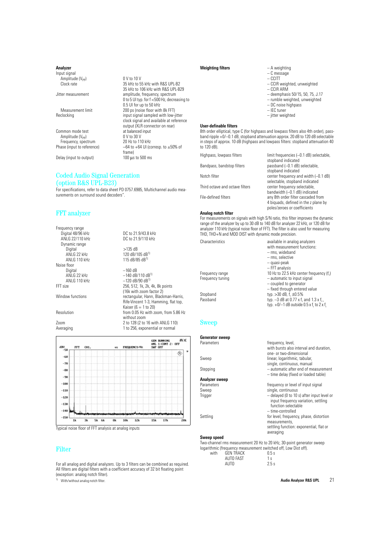### **Analyzer**

Input signal  $A$ mplitude (V<sub>PP</sub>) 0 V to 10 V<br>Clock rate 35 kHz to 5

Jitter measurement amplitude, frequency, spectrum

Measurement limit 200 ps (noise floor with 8k FFT)<br>Reclocking exampled with low-

Common mode test at balanced<br>Amplitude (V<sub>pp</sub>) 0 V to 30 V Amplitude (V<sub>PP</sub>) 0 V to 30 V<br>Frequency, spectrum 20 Hz to 110 kHz Frequency, spectrum<br>Phase (input to reference)

Delay (input to output)

### Coded Audio Signal Generation (option R&S UPL-B23)

For specifications, refer to data sheet PD 0757.6985, Multichannel audio measurements on surround sound decoders"

### FFT analyzer

Frequency range<br>Digital 48/96 kHz Dynamic range Noise floor<br>Digital



35 kHz to 55 kHz with R&S UPL-B2 35 kHz to 106 kHz with R&S UPL-B29

0.5 UI for up to 50 kHz

frame)<br>100  $\mu$ s to 500 ms

0 to 5 UI typ. for f <500 Hz, decreasing to

input signal sampled with low-jitter clock signal and available at reference output (XLR connector on rear)

−64 to +64 UI (corresp. to ±50% of



Typical noise floor of FFT analysis at analog inputs

### Filter

For all analog and digital analyzers. Up to 3 filters can be combined as required. All filters are digital filters with a coefficient accuracy of 32 bit floating point (exception: analog notch filter).

<sup>1)</sup> With/without analog notch filter

### **Weighting filters** – A weighting

| manduring means | <b>INVERTION</b>                   |
|-----------------|------------------------------------|
|                 | $-$ C message                      |
|                 | $-$ CCITT                          |
|                 | - CCIR weighted, unweighted        |
|                 | $-$ CCIR ARM                       |
|                 | $-$ deemphasis 50/15, 50, 75, J.17 |
|                 | - rumble weighted, unweighted      |
|                 | $-DC$ noise highpass               |
|                 | - IEC tuner                        |
|                 | - jitter weighted                  |
|                 |                                    |

### **User-definable filters**

8th order elliptical, type C (for highpass and lowpass filters also 4th order), passband ripple +0/–0.1 dB, stopband attenuation approx. 20 dB to 120 dB selectable in steps of approx. 10 dB (highpass and lowpass filters: stopband attenuation 40 to 120 dB).

| limit frequencies (-0.1 dB) selectable, |
|-----------------------------------------|
| stopband indicated                      |
| passband (-0.1 dB) selectable,          |
| stopband indicated                      |
| center frequency and width $(-0.1$ dB)  |
| selectable, stopband indicated          |
| center frequency selectable,            |
| bandwidth (-0.1 dB) indicated           |
| any 8th order filter cascaded from      |
| 4 biguads, defined in the z plane by    |
| poles/zeroes or coefficients            |
|                                         |

### **Analog notch filter**

For measurements on signals with high S/N ratio, this filter improves the dynamic range of the analyzer by up to 30 dB to 140 dB for analyzer 22 kHz, or 120 dB for analyzer 110 kHz (typical noise floor of FFT). The filter is also used for measuring THD, THD+N and MOD DIST with dynamic mode precision.

| Characteristics  | available in analog analyzers              |
|------------------|--------------------------------------------|
|                  | with measurement functions:                |
|                  | - rms, wideband                            |
|                  | - rms, selective                           |
|                  | - quasi-peak                               |
|                  | $-$ FFT analysis                           |
| Frequency range  | 10 Hz to 22.5 kHz center frequency (f.)    |
| Frequency tuning | - automatic to input signal                |
|                  | - coupled to generator                     |
|                  | - fixed through entered value              |
| Stopband         | typ. $>30$ dB, f, $\pm 0.5\%$              |
| Passband         | typ. $-3$ dB at 0.77 x f, and 1.3 x f,     |
|                  | typ. $+0/-1$ dB outside 0.5 x f, to 2 x f, |
|                  |                                            |

### Sweep

| <b>Generator sweep</b>                                                |                                                            |
|-----------------------------------------------------------------------|------------------------------------------------------------|
| Parameters                                                            | frequency, level,                                          |
|                                                                       | with bursts also interval and duration.                    |
|                                                                       | one- or two-dimensional                                    |
| Sweep                                                                 | linear, logarithmic, tabular,                              |
|                                                                       | single, continuous, manual                                 |
| Stepping                                                              | - automatic after end of measurement                       |
|                                                                       | - time delay (fixed or loaded table)                       |
| Analyzer sweep                                                        |                                                            |
| Parameters                                                            | frequency or level of input signal                         |
| Sweep                                                                 | single, continuous                                         |
| Trigger                                                               | - delayed (0 to 10 s) after input level or                 |
|                                                                       | input frequency variation, settling<br>function selectable |
|                                                                       | - time-controlled                                          |
|                                                                       |                                                            |
| Settling                                                              | for level, frequency, phase, distortion<br>measurements,   |
|                                                                       | settling function: exponential, flat or                    |
|                                                                       | averaging                                                  |
| Sweep speed                                                           |                                                            |
|                                                                       |                                                            |
| Two-channel rms measurement 20 Hz to 20 kHz, 30-point generator sweep |                                                            |
| logarithmic (frequency measurement switched off, Low Dist off).       |                                                            |

| with | <b>GEN TRACK</b> | 0.5s           |
|------|------------------|----------------|
|      | AUTO FAST        | 1 <sub>s</sub> |
|      | AUTO             | 2.5s           |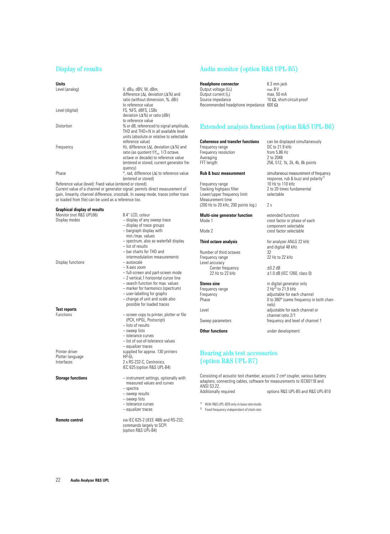### Display of results

### **Units**

| Level (analog)  | V. dBu. dBV. W. dBm.                                           |
|-----------------|----------------------------------------------------------------|
|                 | difference ( $\Delta$ ), deviation ( $\Delta\%$ ) and          |
|                 | ratio (without dimension, %, dBr)                              |
|                 | to reference value                                             |
| Level (digital) | FS. %FS. dBFS. LSBs                                            |
|                 | deviation ( $\Delta\%$ ) or ratio (dBr)                        |
|                 | to reference value                                             |
| Distortion      | % or dB, referenced to signal amplitude,                       |
|                 | THD and THD+N in all available level                           |
|                 | units (absolute or relative to selectable                      |
|                 | reference value)                                               |
| Frequency       | Hz, difference ( $\Delta$ ), deviation ( $\Delta\%$ ) and      |
|                 | ratio (as quotient f/f <sub>rete</sub> 1/3 octave,             |
|                 | octave or decade) to reference value                           |
|                 | (entered or stored, current generator fre-                     |
|                 | quency)                                                        |
| Phase           | $\degree$ , rad, difference ( $\triangle$ ) to reference value |
|                 | (entered or stored)                                            |

Reference value (level): Fixed value (entered or stored).

Current value of a channel or generator signal: permits direct measurement of gain, linearity, channel difference, crosstalk. In sweep mode, traces (other trace or loaded from file) can be used as a reference too.

| Graphical display of results |                                           |
|------------------------------|-------------------------------------------|
| Monitor (not R&S UPL66)      | 8.4" LCD, colour                          |
| Display modes                | - display of any sweep trace              |
|                              | - display of trace groups                 |
|                              | - bargraph display with                   |
|                              | min./max. values                          |
|                              | - spectrum, also as waterfall display     |
|                              | $-$ list of results                       |
|                              | - bar charts for THD and                  |
|                              | intermodulation measurements              |
| Display functions            | – autoscale                               |
|                              | $-$ X-axis zoom                           |
|                              | - full-screen and part-screen mode        |
|                              | - 2 vertical.1 horizontal cursor line     |
|                              | - search function for max. values         |
|                              | - marker for harmonics (spectrum)         |
|                              | - user-labelling for graphs               |
|                              | - change of unit and scale also           |
|                              | possible for loaded traces                |
| <b>Test reports</b>          |                                           |
| <b>Functions</b>             | - screen copy to printer, plotter or file |
|                              | (PCX, HPGL, Postscript)                   |
|                              | - lists of results                        |
|                              | - sweep lists                             |
|                              | - tolerance curves                        |
|                              | - list of out-of-tolerance values         |
|                              | - equalizer traces                        |
| Printer driver               | supplied for approx. 130 printers         |
| Plotter language             | HP-GL                                     |
| Interfaces                   | 2 x RS-232-C, Centronics,                 |
|                              | IEC 625 (option R&S UPL-B4)               |
|                              |                                           |
| <b>Storage functions</b>     | - instrument settings, optionally with    |
|                              | measured values and curves                |
|                              | $-$ spectra                               |
|                              | - sweep results                           |
|                              | - sweep lists                             |
|                              | - tolerance curves                        |
|                              | - equalizer traces                        |
|                              |                                           |
| <b>Remote control</b>        | via IEC 625-2 (IEEE 488) and RS-232;      |
|                              | commands largely to SCPI                  |
|                              | (option R&S UPL-B4)                       |

### Audio monitor (option R&S UPL-B5)

**Headphone connector** 6.3 mm jack<br>Output voltage (U<sub>e</sub>) max. 8 V Output voltage  $(U_p)$  max. 8 V<br>Output current  $(I_p)$  max. 50 mA Output current  $(I_p)$ <br>Source impedance 10  $\Omega$ , short-circuit-proof Recommended headphone impedance 600 Ω

### Extended analysis functions (option R&S UPL-B6)

256, 512, 1k, 2k, 4k, 8k points

2 to 20 times fundamental<br>selectable

crest factor or phase of each component selectable

 $±1.0$  dB (IEC 1260, class 0)

 $0$  to  $360^\circ$  (same frequency in both chan-

and digital 48 kHz

response, rub & buzz and polarity<sup>1)</sup><br>10 Hz to 110 kHz

## **Coherence and transfer functions** can be displayed simultaneously<br>Frequency range **can be be conserved DC** to 21.9 kHz

Frequency range DC to 21.9 kHz<br>Frequency resolution From 5.86 Hz Frequency resolution from 5.86<br>Averaging 2 to 2048 Averaging<br>FFT length

### **Rub & buzz measurement** simultaneous measurement of frequency

Frequency range<br>Tracking highpass filter Lower/upper frequency limit Measurement time (200 Hz to 20 kHz, 200 points log.) 2 s

## **Multi-sine generator function** extended functions<br>Mode 1 crest factor or phase

Mode 2 crest factor selectable

### **Third octave analysis** for analyzer ANLG 22 kHz

Number of third octaves 32<br>Frequency range 32 Hz to 22 kHz Frequency range Level accuracy Center frequency<br>
22 Hz to 22 kHz<br>  $\pm$ 1.0 dB<br>  $\pm$ 1.0 dB

## **Stereo sine** in digital generator only<br>
Frequency range **in the Step 2 Hz**<sup>2</sup> to 21.9 kHz

Frequency range Frequency adjustable for each channel<br>
Phase 0 to 360° (same frequency in

Level **Level adjustable** for each channel or

Sweep parameters **frequency and level of channel 1** 

**Other functions** under development

### Hearing aids test accessories (option R&S UPL-B7)

Consisting of acoustic test chamber, acoustic 2 cm<sup>3</sup> coupler, various battery adapters, connecting cables, software for measurements to IEC60118 and ANSI S3.22.<br>Additionally required options R&S UPL-B5 and R&S UPL-B10

nels)

channel ratio 2/1

1) With R&S UPL-B29 only in base rate mode.

2) Fixed frequency independent of clock rate.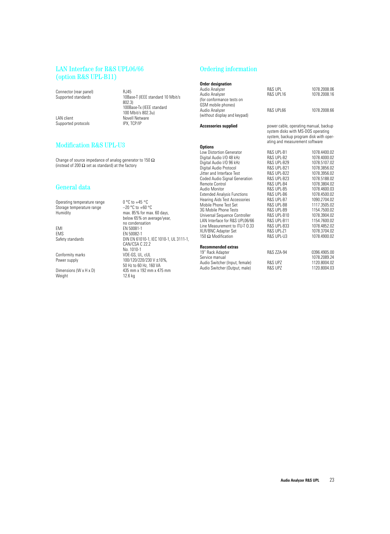### LAN Interface for R&S UPL06/66 (option R&S UPL-B11)

Connector (rear panel) RJ45<br>Supported standards 10Ba

LAN client <br>
Supported protocols<br>
IPX. TCP/IP Supported protocols

### Modification R&S UPL-U3

Change of source impedance of analog generator to 150  $\Omega$ (instead of 200  $\Omega$  set as standard) at the factory

### General data

Operating temperature range  $0^{\circ}$ C to +45  $^{\circ}$ C<br>Storage temperature range  $-20^{\circ}$ C to +60  $^{\circ}$ C Storage temperature range<br>Humidity

EMI EMS<br>EN 50081-1<br>EMS EN 50082-1 EMS<br>
Safety standards

EN 50082-1<br>
DIN EN 610

Conformity marks<br>Power supply

Dimensions (W x H x D)  $435$  mm x 192 mm x 475 mm<br>Weight  $12.6$  kg Weight

10Base-T (IEEE standard 10 Mbit/s 802.3) 100Base-Tx (IEEE standard 100 Mbit/s 802.3u)

max. 85% for max. 60 days, below 65% on average/year, no condensation

100/120/220/230 V ±10%, 50 Hz to 60 Hz, 160 VA

CAN/CSA C 22.2 No. 1010-1<br>VDE-GS, UL, cUL

DIN EN 61010-1, IEC 1010-1, UL 3111-1,

### Ordering information

| <b>Order designation</b><br>Audio Analyzer<br>Audio Analyzer<br>(for conformance tests on<br>GSM mobile phones) | <b>R&amp;S UPL</b><br>R&S UPL16                                                                                                                         | 1078.2008.06<br>1078.2008.16 |
|-----------------------------------------------------------------------------------------------------------------|---------------------------------------------------------------------------------------------------------------------------------------------------------|------------------------------|
| Audio Analyzer<br>(without display and keypad)                                                                  | R&S UPL66                                                                                                                                               | 1078.2008.66                 |
| <b>Accessories supplied</b>                                                                                     | power cable, operating manual, backup<br>system disks with MS-DOS operating<br>system, backup program disk with oper-<br>ating and measurement software |                              |
| <b>Options</b>                                                                                                  |                                                                                                                                                         |                              |
| <b>Low Distortion Generator</b>                                                                                 | R&S UPL-B1                                                                                                                                              | 1078.4400.02                 |
| Digital Audio I/O 48 kHz                                                                                        | <b>R&amp;S UPL-B2</b>                                                                                                                                   | 1078.4000.02                 |
| Digital Audio I/O 96 kHz                                                                                        | <b>R&amp;S UPL-B29</b>                                                                                                                                  | 1078.5107.02                 |
| Digital Audio Protocol                                                                                          | <b>R&amp;S UPL-B21</b>                                                                                                                                  | 1078.3856.02                 |
| Jitter and Interface Test                                                                                       | R&S UPL-B22                                                                                                                                             | 1078.3956.02                 |
| <b>Coded Audio Signal Generation</b>                                                                            | R&S UPL-B23                                                                                                                                             | 1078.5188.02                 |
| Remote Control                                                                                                  | R&S UPL-B4                                                                                                                                              | 1078.3804.02                 |
| Audio Monitor                                                                                                   | R&S UPL-B5                                                                                                                                              | 1078.4600.03                 |
| <b>Extended Analysis Functions</b>                                                                              | R&S UPL-B6                                                                                                                                              | 1078.4500.02                 |
| <b>Hearing Aids Test Accessories</b>                                                                            | R&S UPL-B7                                                                                                                                              | 1090.2704.02                 |
| Mobile Phone Test Set                                                                                           | R&S UPL-B8                                                                                                                                              | 1117.3505.02                 |
| 3G Mobile Phone Tests                                                                                           | R&S UPL-B9                                                                                                                                              | 1154.7500.02                 |
| Universal Sequence Controller                                                                                   | R&S UPL-B10                                                                                                                                             | 1078.3904.02                 |
| LAN Interface for R&S UPL06/66                                                                                  | R&S UPL-B11                                                                                                                                             | 1154.7600.02                 |
| Line Measurement to ITU-T 0.33                                                                                  | <b>R&amp;S UPL-B33</b>                                                                                                                                  | 1078.4852.02                 |
| XLR/BNC Adapter Set                                                                                             | R&S UPL-Z1                                                                                                                                              | 1078.3704.02                 |
| 150 $\Omega$ Modification                                                                                       | R&S UPL-U3                                                                                                                                              | 1078.4900.02                 |
| <b>Recommended extras</b>                                                                                       |                                                                                                                                                         |                              |
| 19" Rack Adapter                                                                                                | <b>R&amp;S ZZA-94</b>                                                                                                                                   | 0396.4905.00                 |
| Service manual                                                                                                  |                                                                                                                                                         | 1078.2089.24                 |
| Audio Switcher (Input, female)                                                                                  | <b>R&amp;S UPZ</b>                                                                                                                                      | 1120.8004.02                 |
| Audio Switcher (Output, male)                                                                                   | <b>R&amp;S UPZ</b>                                                                                                                                      | 1120.8004.03                 |